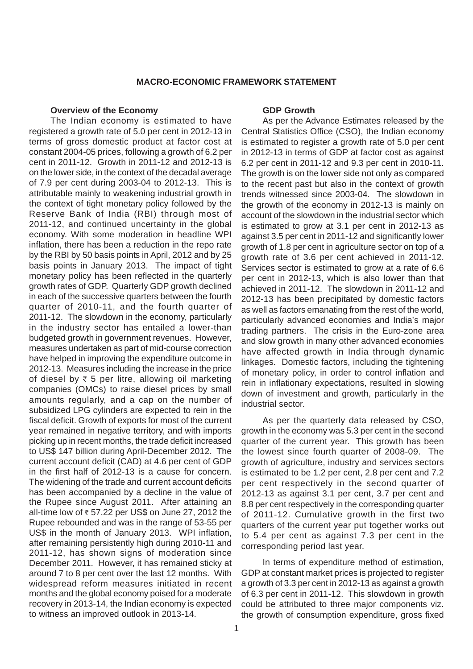# **MACRO-ECONOMIC FRAMEWORK STATEMENT**

#### **Overview of the Economy**

The Indian economy is estimated to have registered a growth rate of 5.0 per cent in 2012-13 in terms of gross domestic product at factor cost at constant 2004-05 prices, following a growth of 6.2 per cent in 2011-12. Growth in 2011-12 and 2012-13 is on the lower side, in the context of the decadal average of 7.9 per cent during 2003-04 to 2012-13. This is attributable mainly to weakening industrial growth in the context of tight monetary policy followed by the Reserve Bank of India (RBI) through most of 2011-12, and continued uncertainty in the global economy. With some moderation in headline WPI inflation, there has been a reduction in the repo rate by the RBI by 50 basis points in April, 2012 and by 25 basis points in January 2013. The impact of tight monetary policy has been reflected in the quarterly growth rates of GDP. Quarterly GDP growth declined in each of the successive quarters between the fourth quarter of 2010-11, and the fourth quarter of 2011-12. The slowdown in the economy, particularly in the industry sector has entailed a lower-than budgeted growth in government revenues. However, measures undertaken as part of mid-course correction have helped in improving the expenditure outcome in 2012-13. Measures including the increase in the price of diesel by  $\overline{\tau}$  5 per litre, allowing oil marketing companies (OMCs) to raise diesel prices by small amounts regularly, and a cap on the number of subsidized LPG cylinders are expected to rein in the fiscal deficit. Growth of exports for most of the current year remained in negative territory, and with imports picking up in recent months, the trade deficit increased to US\$ 147 billion during April-December 2012. The current account deficit (CAD) at 4.6 per cent of GDP in the first half of 2012-13 is a cause for concern. The widening of the trade and current account deficits has been accompanied by a decline in the value of the Rupee since August 2011. After attaining an all-time low of  $\overline{\epsilon}$  57.22 per US\$ on June 27, 2012 the Rupee rebounded and was in the range of 53-55 per US\$ in the month of January 2013. WPI inflation, after remaining persistently high during 2010-11 and 2011-12, has shown signs of moderation since December 2011. However, it has remained sticky at around 7 to 8 per cent over the last 12 months. With widespread reform measures initiated in recent months and the global economy poised for a moderate recovery in 2013-14, the Indian economy is expected to witness an improved outlook in 2013-14.

## **GDP Growth**

As per the Advance Estimates released by the Central Statistics Office (CSO), the Indian economy is estimated to register a growth rate of 5.0 per cent in 2012-13 in terms of GDP at factor cost as against 6.2 per cent in 2011-12 and 9.3 per cent in 2010-11. The growth is on the lower side not only as compared to the recent past but also in the context of growth trends witnessed since 2003-04. The slowdown in the growth of the economy in 2012-13 is mainly on account of the slowdown in the industrial sector which is estimated to grow at 3.1 per cent in 2012-13 as against 3.5 per cent in 2011-12 and significantly lower growth of 1.8 per cent in agriculture sector on top of a growth rate of 3.6 per cent achieved in 2011-12. Services sector is estimated to grow at a rate of 6.6 per cent in 2012-13, which is also lower than that achieved in 2011-12. The slowdown in 2011-12 and 2012-13 has been precipitated by domestic factors as well as factors emanating from the rest of the world, particularly advanced economies and India's major trading partners. The crisis in the Euro-zone area and slow growth in many other advanced economies have affected growth in India through dynamic linkages. Domestic factors, including the tightening of monetary policy, in order to control inflation and rein in inflationary expectations, resulted in slowing down of investment and growth, particularly in the industrial sector.

As per the quarterly data released by CSO, growth in the economy was 5.3 per cent in the second quarter of the current year. This growth has been the lowest since fourth quarter of 2008-09. The growth of agriculture, industry and services sectors is estimated to be 1.2 per cent, 2.8 per cent and 7.2 per cent respectively in the second quarter of 2012-13 as against 3.1 per cent, 3.7 per cent and 8.8 per cent respectively in the corresponding quarter of 2011-12. Cumulative growth in the first two quarters of the current year put together works out to 5.4 per cent as against 7.3 per cent in the corresponding period last year.

In terms of expenditure method of estimation, GDP at constant market prices is projected to register a growth of 3.3 per cent in 2012-13 as against a growth of 6.3 per cent in 2011-12. This slowdown in growth could be attributed to three major components viz. the growth of consumption expenditure, gross fixed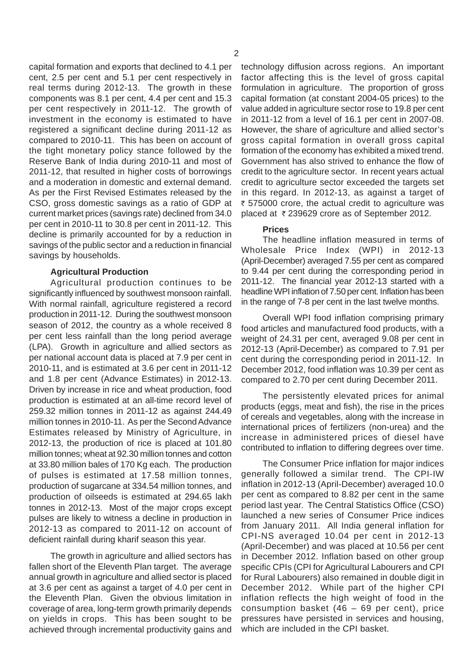capital formation and exports that declined to 4.1 per cent, 2.5 per cent and 5.1 per cent respectively in real terms during 2012-13. The growth in these components was 8.1 per cent, 4.4 per cent and 15.3 per cent respectively in 2011-12. The growth of investment in the economy is estimated to have registered a significant decline during 2011-12 as compared to 2010-11. This has been on account of the tight monetary policy stance followed by the Reserve Bank of India during 2010-11 and most of 2011-12, that resulted in higher costs of borrowings and a moderation in domestic and external demand. As per the First Revised Estimates released by the CSO, gross domestic savings as a ratio of GDP at current market prices (savings rate) declined from 34.0 per cent in 2010-11 to 30.8 per cent in 2011-12. This decline is primarily accounted for by a reduction in savings of the public sector and a reduction in financial savings by households.

### **Agricultural Production**

Agricultural production continues to be significantly influenced by southwest monsoon rainfall. With normal rainfall, agriculture registered a record production in 2011-12. During the southwest monsoon season of 2012, the country as a whole received 8 per cent less rainfall than the long period average (LPA). Growth in agriculture and allied sectors as per national account data is placed at 7.9 per cent in 2010-11, and is estimated at 3.6 per cent in 2011-12 and 1.8 per cent (Advance Estimates) in 2012-13. Driven by increase in rice and wheat production, food production is estimated at an all-time record level of 259.32 million tonnes in 2011-12 as against 244.49 million tonnes in 2010-11. As per the Second Advance Estimates released by Ministry of Agriculture, in 2012-13, the production of rice is placed at 101.80 million tonnes; wheat at 92.30 million tonnes and cotton at 33.80 million bales of 170 Kg each. The production of pulses is estimated at 17.58 million tonnes, production of sugarcane at 334.54 million tonnes, and production of oilseeds is estimated at 294.65 lakh tonnes in 2012-13. Most of the major crops except pulses are likely to witness a decline in production in 2012-13 as compared to 2011-12 on account of deficient rainfall during kharif season this year.

The growth in agriculture and allied sectors has fallen short of the Eleventh Plan target. The average annual growth in agriculture and allied sector is placed at 3.6 per cent as against a target of 4.0 per cent in the Eleventh Plan. Given the obvious limitation in coverage of area, long-term growth primarily depends on yields in crops. This has been sought to be achieved through incremental productivity gains and

technology diffusion across regions. An important factor affecting this is the level of gross capital formulation in agriculture. The proportion of gross capital formation (at constant 2004-05 prices) to the value added in agriculture sector rose to 19.8 per cent in 2011-12 from a level of 16.1 per cent in 2007-08. However, the share of agriculture and allied sector's gross capital formation in overall gross capital formation of the economy has exhibited a mixed trend. Government has also strived to enhance the flow of credit to the agriculture sector. In recent years actual credit to agriculture sector exceeded the targets set in this regard. In 2012-13, as against a target of ₹ 575000 crore, the actual credit to agriculture was placed at  $\bar{\tau}$  239629 crore as of September 2012.

# **Prices**

The headline inflation measured in terms of Wholesale Price Index (WPI) in 2012-13 (April-December) averaged 7.55 per cent as compared to 9.44 per cent during the corresponding period in 2011-12. The financial year 2012-13 started with a headline WPI inflation of 7.50 per cent. Inflation has been in the range of 7-8 per cent in the last twelve months.

Overall WPI food inflation comprising primary food articles and manufactured food products, with a weight of 24.31 per cent, averaged 9.08 per cent in 2012-13 (April-December) as compared to 7.91 per cent during the corresponding period in 2011-12. In December 2012, food inflation was 10.39 per cent as compared to 2.70 per cent during December 2011.

The persistently elevated prices for animal products (eggs, meat and fish), the rise in the prices of cereals and vegetables, along with the increase in international prices of fertilizers (non-urea) and the increase in administered prices of diesel have contributed to inflation to differing degrees over time.

The Consumer Price inflation for major indices generally followed a similar trend. The CPI-IW inflation in 2012-13 (April-December) averaged 10.0 per cent as compared to 8.82 per cent in the same period last year. The Central Statistics Office (CSO) launched a new series of Consumer Price indices from January 2011. All India general inflation for CPI-NS averaged 10.04 per cent in 2012-13 (April-December) and was placed at 10.56 per cent in December 2012. Inflation based on other group specific CPIs (CPI for Agricultural Labourers and CPI for Rural Labourers) also remained in double digit in December 2012. While part of the higher CPI inflation reflects the high weight of food in the consumption basket (46 – 69 per cent), price pressures have persisted in services and housing, which are included in the CPI basket.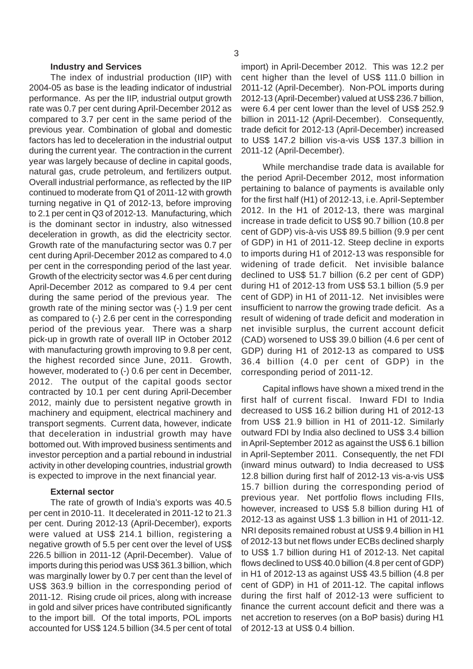### **Industry and Services**

The index of industrial production (IIP) with 2004-05 as base is the leading indicator of industrial performance. As per the IIP, industrial output growth rate was 0.7 per cent during April-December 2012 as compared to 3.7 per cent in the same period of the previous year. Combination of global and domestic factors has led to deceleration in the industrial output during the current year. The contraction in the current year was largely because of decline in capital goods, natural gas, crude petroleum, and fertilizers output. Overall industrial performance, as reflected by the IIP continued to moderate from Q1 of 2011-12 with growth turning negative in Q1 of 2012-13, before improving to 2.1 per cent in Q3 of 2012-13. Manufacturing, which is the dominant sector in industry, also witnessed deceleration in growth, as did the electricity sector. Growth rate of the manufacturing sector was 0.7 per cent during April-December 2012 as compared to 4.0 per cent in the corresponding period of the last year. Growth of the electricity sector was 4.6 per cent during April-December 2012 as compared to 9.4 per cent during the same period of the previous year. The growth rate of the mining sector was (-) 1.9 per cent as compared to (-) 2.6 per cent in the corresponding period of the previous year. There was a sharp pick-up in growth rate of overall IIP in October 2012 with manufacturing growth improving to 9.8 per cent, the highest recorded since June, 2011. Growth, however, moderated to (-) 0.6 per cent in December, 2012. The output of the capital goods sector contracted by 10.1 per cent during April-December 2012, mainly due to persistent negative growth in machinery and equipment, electrical machinery and transport segments. Current data, however, indicate that deceleration in industrial growth may have bottomed out. With improved business sentiments and investor perception and a partial rebound in industrial activity in other developing countries, industrial growth is expected to improve in the next financial year.

## **External sector**

The rate of growth of India's exports was 40.5 per cent in 2010-11. It decelerated in 2011-12 to 21.3 per cent. During 2012-13 (April-December), exports were valued at US\$ 214.1 billion, registering a negative growth of 5.5 per cent over the level of US\$ 226.5 billion in 2011-12 (April-December). Value of imports during this period was US\$ 361.3 billion, which was marginally lower by 0.7 per cent than the level of US\$ 363.9 billion in the corresponding period of 2011-12. Rising crude oil prices, along with increase in gold and silver prices have contributed significantly to the import bill. Of the total imports, POL imports accounted for US\$ 124.5 billion (34.5 per cent of total import) in April-December 2012. This was 12.2 per cent higher than the level of US\$ 111.0 billion in 2011-12 (April-December). Non-POL imports during 2012-13 (April-December) valued at US\$ 236.7 billion, were 6.4 per cent lower than the level of US\$ 252.9 billion in 2011-12 (April-December). Consequently, trade deficit for 2012-13 (April-December) increased to US\$ 147.2 billion vis-a-vis US\$ 137.3 billion in 2011-12 (April-December).

While merchandise trade data is available for the period April-December 2012, most information pertaining to balance of payments is available only for the first half (H1) of 2012-13, i.e. April-September 2012. In the H1 of 2012-13, there was marginal increase in trade deficit to US\$ 90.7 billion (10.8 per cent of GDP) vis-à-vis US\$ 89.5 billion (9.9 per cent of GDP) in H1 of 2011-12. Steep decline in exports to imports during H1 of 2012-13 was responsible for widening of trade deficit. Net invisible balance declined to US\$ 51.7 billion (6.2 per cent of GDP) during H1 of 2012-13 from US\$ 53.1 billion (5.9 per cent of GDP) in H1 of 2011-12. Net invisibles were insufficient to narrow the growing trade deficit. As a result of widening of trade deficit and moderation in net invisible surplus, the current account deficit (CAD) worsened to US\$ 39.0 billion (4.6 per cent of GDP) during H1 of 2012-13 as compared to US\$ 36.4 billion (4.0 per cent of GDP) in the corresponding period of 2011-12.

Capital inflows have shown a mixed trend in the first half of current fiscal. Inward FDI to India decreased to US\$ 16.2 billion during H1 of 2012-13 from US\$ 21.9 billion in H1 of 2011-12. Similarly outward FDI by India also declined to US\$ 3.4 billion in April-September 2012 as against the US\$ 6.1 billion in April-September 2011. Consequently, the net FDI (inward minus outward) to India decreased to US\$ 12.8 billion during first half of 2012-13 vis-a-vis US\$ 15.7 billion during the corresponding period of previous year. Net portfolio flows including FIIs, however, increased to US\$ 5.8 billion during H1 of 2012-13 as against US\$ 1.3 billion in H1 of 2011-12. NRI deposits remained robust at US\$ 9.4 billion in H1 of 2012-13 but net flows under ECBs declined sharply to US\$ 1.7 billion during H1 of 2012-13. Net capital flows declined to US\$ 40.0 billion (4.8 per cent of GDP) in H1 of 2012-13 as against US\$ 43.5 billion (4.8 per cent of GDP) in H1 of 2011-12. The capital inflows during the first half of 2012-13 were sufficient to finance the current account deficit and there was a net accretion to reserves (on a BoP basis) during H1 of 2012-13 at US\$ 0.4 billion.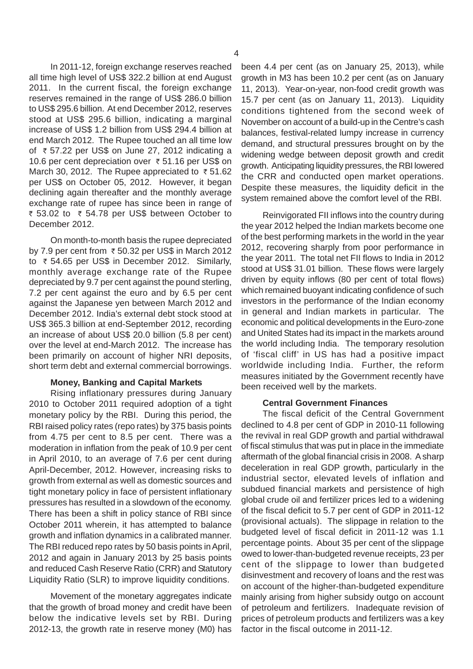In 2011-12, foreign exchange reserves reached all time high level of US\$ 322.2 billion at end August 2011. In the current fiscal, the foreign exchange reserves remained in the range of US\$ 286.0 billion to US\$ 295.6 billion. At end December 2012, reserves stood at US\$ 295.6 billion, indicating a marginal increase of US\$ 1.2 billion from US\$ 294.4 billion at end March 2012. The Rupee touched an all time low of  $\overline{\epsilon}$  57.22 per US\$ on June 27, 2012 indicating a 10.6 per cent depreciation over  $\bar{\tau}$  51.16 per US\$ on March 30, 2012. The Rupee appreciated to  $\overline{\zeta}$  51.62 per US\$ on October 05, 2012. However, it began declining again thereafter and the monthly average exchange rate of rupee has since been in range of ₹ 53.02 to ₹ 54.78 per US\$ between October to December 2012.

On month-to-month basis the rupee depreciated by 7.9 per cent from  $\overline{\overline{\epsilon}}$  50.32 per US\$ in March 2012 to  $\overline{\tau}$  54.65 per US\$ in December 2012. Similarly, monthly average exchange rate of the Rupee depreciated by 9.7 per cent against the pound sterling, 7.2 per cent against the euro and by 6.5 per cent against the Japanese yen between March 2012 and December 2012. India's external debt stock stood at US\$ 365.3 billion at end-September 2012, recording an increase of about US\$ 20.0 billion (5.8 per cent) over the level at end-March 2012. The increase has been primarily on account of higher NRI deposits, short term debt and external commercial borrowings.

## **Money, Banking and Capital Markets**

Rising inflationary pressures during January 2010 to October 2011 required adoption of a tight monetary policy by the RBI. During this period, the RBI raised policy rates (repo rates) by 375 basis points from 4.75 per cent to 8.5 per cent. There was a moderation in inflation from the peak of 10.9 per cent in April 2010, to an average of 7.6 per cent during April-December, 2012. However, increasing risks to growth from external as well as domestic sources and tight monetary policy in face of persistent inflationary pressures has resulted in a slowdown of the economy. There has been a shift in policy stance of RBI since October 2011 wherein, it has attempted to balance growth and inflation dynamics in a calibrated manner. The RBI reduced repo rates by 50 basis points in April, 2012 and again in January 2013 by 25 basis points and reduced Cash Reserve Ratio (CRR) and Statutory Liquidity Ratio (SLR) to improve liquidity conditions.

Movement of the monetary aggregates indicate that the growth of broad money and credit have been below the indicative levels set by RBI. During 2012-13, the growth rate in reserve money (M0) has been 4.4 per cent (as on January 25, 2013), while growth in M3 has been 10.2 per cent (as on January 11, 2013). Year-on-year, non-food credit growth was 15.7 per cent (as on January 11, 2013). Liquidity conditions tightened from the second week of November on account of a build-up in the Centre's cash balances, festival-related lumpy increase in currency demand, and structural pressures brought on by the widening wedge between deposit growth and credit growth. Anticipating liquidity pressures, the RBI lowered the CRR and conducted open market operations. Despite these measures, the liquidity deficit in the system remained above the comfort level of the RBI.

Reinvigorated FII inflows into the country during the year 2012 helped the Indian markets become one of the best performing markets in the world in the year 2012, recovering sharply from poor performance in the year 2011. The total net FII flows to India in 2012 stood at US\$ 31.01 billion. These flows were largely driven by equity inflows (80 per cent of total flows) which remained buoyant indicating confidence of such investors in the performance of the Indian economy in general and Indian markets in particular. The economic and political developments in the Euro-zone and United States had its impact in the markets around the world including India. The temporary resolution of 'fiscal cliff' in US has had a positive impact worldwide including India. Further, the reform measures initiated by the Government recently have been received well by the markets.

# **Central Government Finances**

The fiscal deficit of the Central Government declined to 4.8 per cent of GDP in 2010-11 following the revival in real GDP growth and partial withdrawal of fiscal stimulus that was put in place in the immediate aftermath of the global financial crisis in 2008. A sharp deceleration in real GDP growth, particularly in the industrial sector, elevated levels of inflation and subdued financial markets and persistence of high global crude oil and fertilizer prices led to a widening of the fiscal deficit to 5.7 per cent of GDP in 2011-12 (provisional actuals). The slippage in relation to the budgeted level of fiscal deficit in 2011-12 was 1.1 percentage points. About 35 per cent of the slippage owed to lower-than-budgeted revenue receipts, 23 per cent of the slippage to lower than budgeted disinvestment and recovery of loans and the rest was on account of the higher-than-budgeted expenditure mainly arising from higher subsidy outgo on account of petroleum and fertilizers. Inadequate revision of prices of petroleum products and fertilizers was a key factor in the fiscal outcome in 2011-12.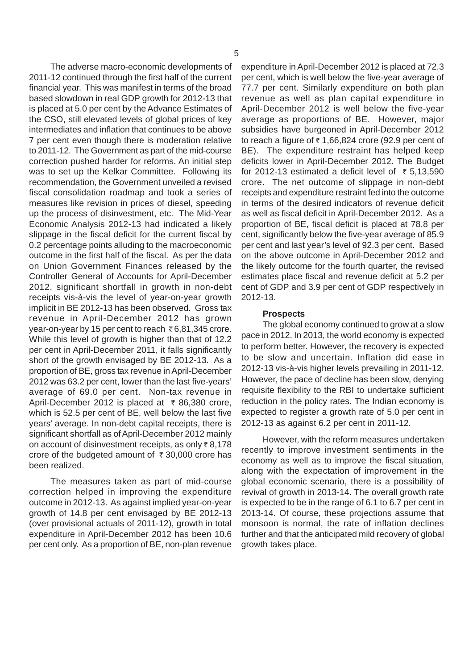The adverse macro-economic developments of 2011-12 continued through the first half of the current financial year. This was manifest in terms of the broad based slowdown in real GDP growth for 2012-13 that is placed at 5.0 per cent by the Advance Estimates of the CSO, still elevated levels of global prices of key intermediates and inflation that continues to be above 7 per cent even though there is moderation relative to 2011-12. The Government as part of the mid-course correction pushed harder for reforms. An initial step was to set up the Kelkar Committee. Following its recommendation, the Government unveiled a revised fiscal consolidation roadmap and took a series of measures like revision in prices of diesel, speeding up the process of disinvestment, etc. The Mid-Year Economic Analysis 2012-13 had indicated a likely slippage in the fiscal deficit for the current fiscal by 0.2 percentage points alluding to the macroeconomic outcome in the first half of the fiscal. As per the data on Union Government Finances released by the Controller General of Accounts for April-December 2012, significant shortfall in growth in non-debt receipts vis-à-vis the level of year-on-year growth implicit in BE 2012-13 has been observed. Gross tax revenue in April-December 2012 has grown year-on-year by 15 per cent to reach  $\bar{\tau}$  6,81,345 crore. While this level of growth is higher than that of 12.2 per cent in April-December 2011, it falls significantly short of the growth envisaged by BE 2012-13. As a proportion of BE, gross tax revenue in April-December 2012 was 63.2 per cent, lower than the last five-years' average of 69.0 per cent. Non-tax revenue in April-December 2012 is placed at  $\bar{\tau}$  86,380 crore, which is 52.5 per cent of BE, well below the last five years' average. In non-debt capital receipts, there is significant shortfall as of April-December 2012 mainly on account of disinvestment receipts, as only  $\bar{z}$  8,178 crore of the budgeted amount of  $\bar{\tau}$  30,000 crore has been realized.

The measures taken as part of mid-course correction helped in improving the expenditure outcome in 2012-13. As against implied year-on-year growth of 14.8 per cent envisaged by BE 2012-13 (over provisional actuals of 2011-12), growth in total expenditure in April-December 2012 has been 10.6 per cent only. As a proportion of BE, non-plan revenue

expenditure in April-December 2012 is placed at 72.3 per cent, which is well below the five-year average of 77.7 per cent. Similarly expenditure on both plan revenue as well as plan capital expenditure in April-December 2012 is well below the five-year average as proportions of BE. However, major subsidies have burgeoned in April-December 2012 to reach a figure of  $\bar{\tau}$  1,66,824 crore (92,9 per cent of BE). The expenditure restraint has helped keep deficits lower in April-December 2012. The Budget for 2012-13 estimated a deficit level of  $\overline{\epsilon}$  5.13,590 crore. The net outcome of slippage in non-debt receipts and expenditure restraint fed into the outcome in terms of the desired indicators of revenue deficit as well as fiscal deficit in April-December 2012. As a proportion of BE, fiscal deficit is placed at 78.8 per cent, significantly below the five-year average of 85.9 per cent and last year's level of 92.3 per cent. Based on the above outcome in April-December 2012 and the likely outcome for the fourth quarter, the revised estimates place fiscal and revenue deficit at 5.2 per cent of GDP and 3.9 per cent of GDP respectively in 2012-13.

### **Prospects**

The global economy continued to grow at a slow pace in 2012. In 2013, the world economy is expected to perform better. However, the recovery is expected to be slow and uncertain. Inflation did ease in 2012-13 vis-à-vis higher levels prevailing in 2011-12. However, the pace of decline has been slow, denying requisite flexibility to the RBI to undertake sufficient reduction in the policy rates. The Indian economy is expected to register a growth rate of 5.0 per cent in 2012-13 as against 6.2 per cent in 2011-12.

However, with the reform measures undertaken recently to improve investment sentiments in the economy as well as to improve the fiscal situation, along with the expectation of improvement in the global economic scenario, there is a possibility of revival of growth in 2013-14. The overall growth rate is expected to be in the range of 6.1 to 6.7 per cent in 2013-14. Of course, these projections assume that monsoon is normal, the rate of inflation declines further and that the anticipated mild recovery of global growth takes place.